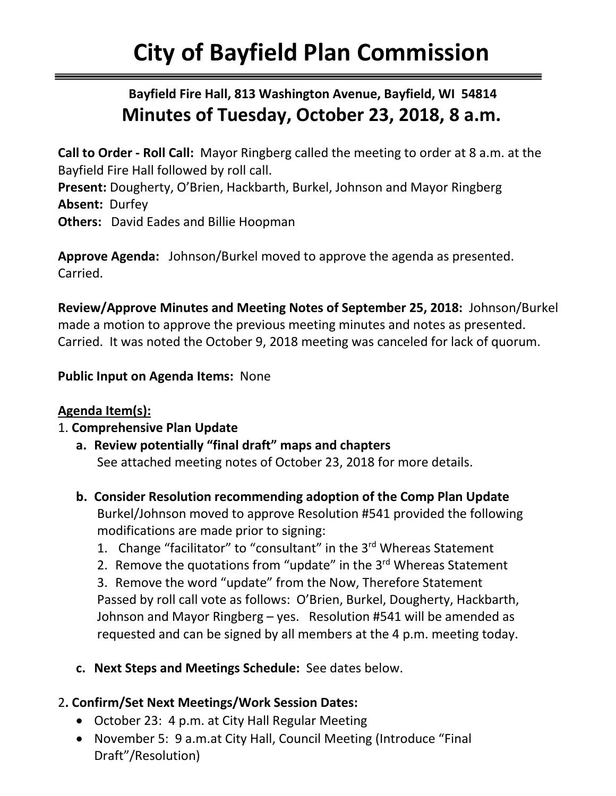# **City of Bayfield Plan Commission**

## **Bayfield Fire Hall, 813 Washington Avenue, Bayfield, WI 54814 Minutes of Tuesday, October 23, 2018, 8 a.m.**

**Call to Order - Roll Call:** Mayor Ringberg called the meeting to order at 8 a.m. at the Bayfield Fire Hall followed by roll call. **Present:** Dougherty, O'Brien, Hackbarth, Burkel, Johnson and Mayor Ringberg **Absent:** Durfey

**Others:** David Eades and Billie Hoopman

**Approve Agenda:** Johnson/Burkel moved to approve the agenda as presented. Carried.

**Review/Approve Minutes and Meeting Notes of September 25, 2018:** Johnson/Burkel made a motion to approve the previous meeting minutes and notes as presented. Carried. It was noted the October 9, 2018 meeting was canceled for lack of quorum.

### **Public Input on Agenda Items:** None

### **Agenda Item(s):**

1. **Comprehensive Plan Update**

- **a. Review potentially "final draft" maps and chapters** See attached meeting notes of October 23, 2018 for more details.
- **b. Consider Resolution recommending adoption of the Comp Plan Update**

Burkel/Johnson moved to approve Resolution #541 provided the following modifications are made prior to signing:

- 1. Change "facilitator" to "consultant" in the 3<sup>rd</sup> Whereas Statement
- 2. Remove the quotations from "update" in the  $3<sup>rd</sup>$  Whereas Statement

3. Remove the word "update" from the Now, Therefore Statement Passed by roll call vote as follows: O'Brien, Burkel, Dougherty, Hackbarth, Johnson and Mayor Ringberg – yes. Resolution #541 will be amended as requested and can be signed by all members at the 4 p.m. meeting today.

**c. Next Steps and Meetings Schedule:** See dates below.

### 2**. Confirm/Set Next Meetings/Work Session Dates:**

- October 23: 4 p.m. at City Hall Regular Meeting
- November 5: 9 a.m.at City Hall, Council Meeting (Introduce "Final Draft"/Resolution)